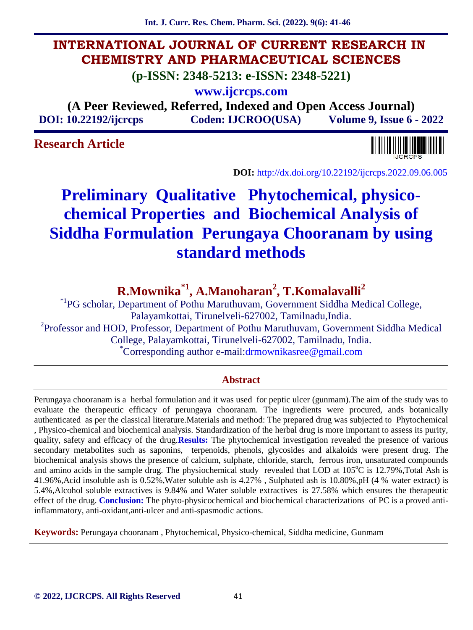**Int. J. Curr. Res. Chem. Pharm. Sci. (2022). 9(6): 41-46**

## **INTERNATIONAL JOURNAL OF CURRENT RESEARCH IN CHEMISTRY AND PHARMACEUTICAL SCIENCES**

**(p-ISSN: 2348-5213: e-ISSN: 2348-5221)**

**www.ijcrcps.com**

**(A Peer Reviewed, Referred, Indexed and Open Access Journal) DOI: 10.22192/ijcrcps Coden: IJCROO(USA) Volume 9, Issue 6 - 2022**

## **Research Article**



**DOI:** http://dx.doi.org/10.22192/ijcrcps.2022.09.06.005

# **Preliminary Qualitative Phytochemical, physico chemical Properties and Biochemical Analysis of Siddha Formulation Perungaya Chooranam by using standard methods**

## **R.Mownika\*1, A.Manoharan<sup>2</sup> , T.Komalavalli<sup>2</sup>**

\*1PG scholar, Department of Pothu Maruthuvam, Government Siddha Medical College, Palayamkottai, Tirunelveli-627002, Tamilnadu,India. <sup>2</sup>Professor and HOD, Professor, Department of Pothu Maruthuvam, Government Siddha Medical College, Palayamkottai, Tirunelveli-627002, Tamilnadu, India. \*Corresponding author e-mail:drmownikasree@gmail.com

#### **Abstract**

Perungaya chooranam is a herbal formulation and it was used for peptic ulcer (gunmam).The aim of the study was to evaluate the therapeutic efficacy of perungaya chooranam. The ingredients were procured, ands botanically authenticated as per the classical literature.Materials and method: The prepared drug was subjected to Phytochemical , Physico-chemical and biochemical analysis. Standardization of the herbal drug is more important to assess its purity, quality, safety and efficacy of the drug.**Results:** The phytochemical investigation revealed the presence of various secondary metabolites such as saponins, terpenoids, phenols, glycosides and alkaloids were present drug. The biochemical analysis shows the presence of calcium, sulphate, chloride, starch, ferrous iron, unsaturated compounds and amino acids in the sample drug. The physiochemical study revealed that LOD at  $105^{\circ}$ C is  $12.79\%$ , Total Ash is 41.96%,Acid insoluble ash is 0.52%,Water soluble ash is 4.27% , Sulphated ash is 10.80%,pH (4 % water extract) is 5.4%,Alcohol soluble extractives is 9.84% and Water soluble extractives is 27.58% which ensures the therapeutic effect of the drug. **Conclusion:** The phyto-physicochemical and biochemical characterizations of PC is a proved antiinflammatory, anti-oxidant,anti-ulcer and anti-spasmodic actions.

**Keywords:** Perungaya chooranam , Phytochemical, Physico-chemical, Siddha medicine, Gunmam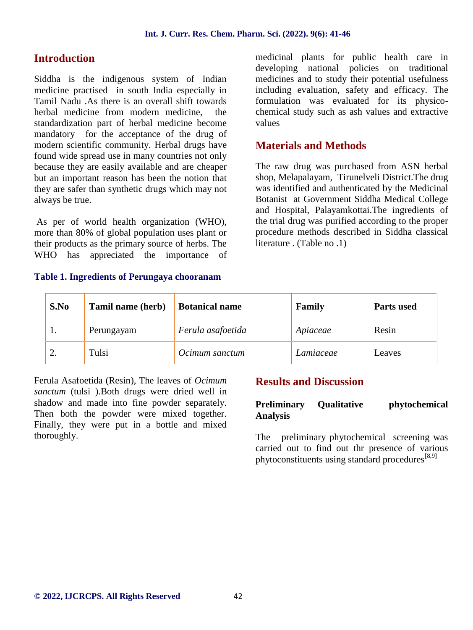## **Introduction**

Siddha is the indigenous system of Indian medicine practised in south India especially in Tamil Nadu .As there is an overall shift towards herbal medicine from modern medicine, the standardization part of herbal medicine become mandatory for the acceptance of the drug of modern scientific community. Herbal drugs have found wide spread use in many countries not only because they are easily available and are cheaper but an important reason has been the notion that they are safer than synthetic drugs which may not always be true.

As per of world health organization (WHO), more than 80% of global population uses plant or their products as the primary source of herbs. The WHO has appreciated the importance of

#### **Table 1. Ingredients of Perungaya chooranam**

medicinal plants for public health care in developing national policies on traditional medicines and to study their potential usefulness including evaluation, safety and efficacy. The formulation was evaluated for its physico chemical study such as ash values and extractive values

## **Materials and Methods**

The raw drug was purchased from ASN herbal shop, Melapalayam, Tirunelveli District.The drug was identified and authenticated by the Medicinal Botanist at Government Siddha Medical College and Hospital, Palayamkottai.The ingredients of the trial drug was purified according to the proper procedure methods described in Siddha classical literature . (Table no .1)

| S.No | Tamil name (herb) | <b>Botanical name</b> | Family    | <b>Parts used</b> |
|------|-------------------|-----------------------|-----------|-------------------|
|      | Perungayam        | Ferula asafoetida     | Apiaceae  | Resin             |
|      | Tulsi             | Ocimum sanctum        | Lamiaceae | Leaves            |

Ferula Asafoetida (Resin), The leaves of *Ocimum sanctum* (tulsi ).Both drugs were dried well in shadow and made into fine powder separately. Then both the powder were mixed together. Finally, they were put in a bottle and mixed thoroughly.

### **Results and Discussion**

#### **Preliminary Qualitative phytochemical Analysis**

The preliminary phytochemical screening was carried out to find out thr presence of various phytoconstituents using standard procedures<sup>[8,9]</sup>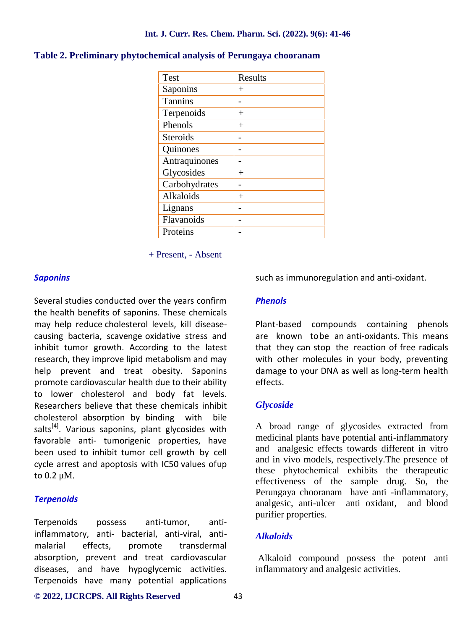#### **Int. J. Curr. Res. Chem. Pharm. Sci. (2022). 9(6): 41-46**

| <b>Test</b>     | Results |
|-----------------|---------|
| Saponins        | $^{+}$  |
| <b>Tannins</b>  |         |
| Terpenoids      | $^+$    |
| Phenols         | $^{+}$  |
| <b>Steroids</b> |         |
| Quinones        |         |
| Antraquinones   |         |
| Glycosides      | $^+$    |
| Carbohydrates   |         |
| Alkaloids       | $^+$    |
| Lignans         |         |
| Flavanoids      |         |
| Proteins        |         |

#### **Table 2. Preliminary phytochemical analysis of Perungaya chooranam**

+ Present, - Absent

#### *Saponins*

Several studies conducted over the years confirm the health benefits of saponins. These chemicals may help reduce cholesterol levels, kill disease causing bacteria, scavenge oxidative stress and inhibit tumor growth. According to the latest research, they improve lipid metabolism and may help prevent and treat obesity. Saponins promote cardiovascular health due to their ability to lower cholesterol and body fat levels. Researchers believe that these chemicals inhibit cholesterol absorption by binding with bile salts $^{[4]}$ . Various saponins, plant glycosides with favorable anti- tumorigenic properties, have been used to inhibit tumor cell growth by cell cycle arrest and apoptosis with IC50 values ofup to 0.2 μM.

#### *Terpenoids*

Terpenoids possess anti-tumor, antiinflammatory, anti- bacterial, anti-viral, anti malarial effects, promote transdermal absorption, prevent and treat cardiovascular diseases, and have hypoglycemic activities. Terpenoids have many potential applications such as immunoregulation and anti-oxidant.

#### *Phenols*

Plant-based compounds containing phenols are known tobe an anti-oxidants. This means that they can stop the reaction of free radicals with other molecules in your body, preventing damage to your DNA as well as long-term health effects.

#### *Glycoside*

A broad range of glycosides extracted from medicinal plants have potential anti-inflammatory and analgesic effects towards different in vitro and in vivo models, respectively.The presence of these phytochemical exhibits the therapeutic effectiveness of the sample drug. So, the Perungaya chooranam have anti -inflammatory, analgesic, anti-ulcer anti oxidant, and blood purifier properties.

#### *Alkaloids*

Alkaloid compound possess the potent anti inflammatory and analgesic activities.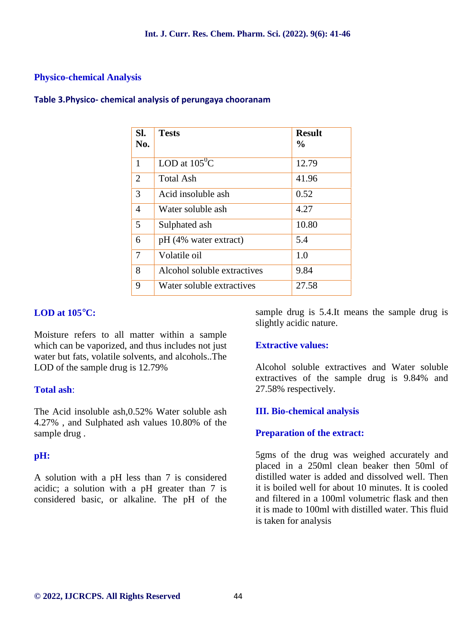#### **Physico-chemical Analysis**

| SI.<br>No.     | <b>Tests</b>                | <b>Result</b><br>$\frac{0}{0}$ |
|----------------|-----------------------------|--------------------------------|
| 1              | LOD at $105^{\circ}$ C      | 12.79                          |
| $\overline{2}$ | <b>Total Ash</b>            | 41.96                          |
| 3              | Acid insoluble ash          | 0.52                           |
| 4              | Water soluble ash           | 4.27                           |
| 5              | Sulphated ash               | 10.80                          |
| 6              | pH (4% water extract)       | 5.4                            |
| 7              | Volatile oil                | 1.0                            |
| 8              | Alcohol soluble extractives | 9.84                           |
| 9              | Water soluble extractives   | 27.58                          |

#### **Table 3.Physico- chemical analysis of perungaya chooranam**

#### **LOD at 105C:**

Moisture refers to all matter within a sample which can be vaporized, and thus includes not just water but fats, volatile solvents, and alcohols..The LOD of the sample drug is 12.79%

#### **Total ash**:

The Acid insoluble ash,0.52% Water soluble ash 4.27% , and Sulphated ash values 10.80% of the sample drug .

#### **pH:**

A solution with a pH less than 7 is considered acidic; a solution with a pH greater than 7 is considered basic, or alkaline. The pH of the sample drug is 5.4.It means the sample drug is slightly acidic nature.

#### **Extractive values:**

Alcohol soluble extractives and Water soluble extractives of the sample drug is 9.84% and 27.58% respectively.

#### **III. Bio-chemical analysis**

#### **Preparation of the extract:**

5gms of the drug was weighed accurately and placed in a 250ml clean beaker then 50ml of distilled water is added and dissolved well. Then it is boiled well for about 10 minutes. It is cooled and filtered in a 100ml volumetric flask and then it is made to 100ml with distilled water. This fluid is taken for analysis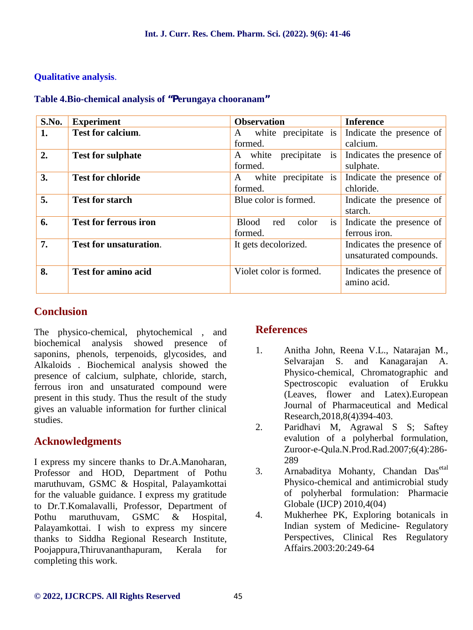#### **Qualitative analysis**.

| S.No. | <b>Experiment</b>             | <b>Observation</b>                      | <b>Inference</b>                                    |
|-------|-------------------------------|-----------------------------------------|-----------------------------------------------------|
| 1.    | <b>Test for calcium.</b>      | white precipitate is<br>A<br>formed.    | Indicate the presence of<br>calcium.                |
| 2.    | <b>Test for sulphate</b>      | precipitate<br>is<br>A white<br>formed. | Indicates the presence of<br>sulphate.              |
| 3.    | <b>Test for chloride</b>      | white precipitate is<br>A<br>formed.    | Indicate the presence of<br>chloride.               |
| 5.    | <b>Test for starch</b>        | Blue color is formed.                   | Indicate the presence of<br>starch.                 |
| 6.    | <b>Test for ferrous iron</b>  | is<br>Blood red<br>color<br>formed.     | Indicate the presence of<br>ferrous iron.           |
| 7.    | <b>Test for unsaturation.</b> | It gets decolorized.                    | Indicates the presence of<br>unsaturated compounds. |
| 8.    | <b>Test for amino acid</b>    | Violet color is formed.                 | Indicates the presence of<br>amino acid.            |

#### **Table 4.Bio-chemical analysis of "Perungaya chooranam"**

## **Conclusion**

The physico-chemical, phytochemical , and biochemical analysis showed presence of saponins, phenols, terpenoids, glycosides, and <sup>1</sup> Alkaloids . Biochemical analysis showed the presence of calcium, sulphate, chloride, starch, ferrous iron and unsaturated compound were present in this study. Thus the result of the study gives an valuable information for further clinical studies.

## **Acknowledgments**

I express my sincere thanks to Dr.A.Manoharan, Professor and HOD, Department of Pothu maruthuvam, GSMC & Hospital, Palayamkottai for the valuable guidance. I express my gratitude to Dr.T.Komalavalli, Professor, Department of Pothu maruthuvam, GSMC & Hospital, Palayamkottai. I wish to express my sincere thanks to Siddha Regional Research Institute, Poojappura,Thiruvananthapuram, Kerala for completing this work.

## **References**

- 1. Anitha John, Reena V.L., Natarajan M., Selvarajan S. and Kanagarajan A. Physico-chemical, Chromatographic and Spectroscopic evaluation of Erukku (Leaves, flower and Latex).European Journal of Pharmaceutical and Medical Research,2018,8(4)394-403.
- 2. Paridhavi M, Agrawal S S; Saftey evalution of a polyherbal formulation, Zuroor-e-Qula.N.Prod.Rad.2007;6(4):286- 289
- Arnabaditya Mohanty, Chandan Dasetal Physico-chemical and antimicrobial study of polyherbal formulation: Pharmacie Globale (IJCP) 2010,4(04)
- 4. Mukherhee PK, Exploring botanicals in Indian system of Medicine- Regulatory Perspectives, Clinical Res Regulatory Affairs.2003:20:249-64